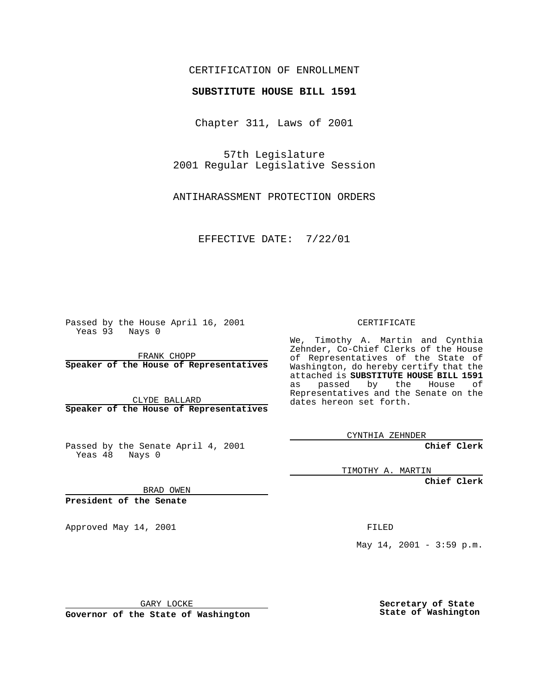## CERTIFICATION OF ENROLLMENT

## **SUBSTITUTE HOUSE BILL 1591**

Chapter 311, Laws of 2001

57th Legislature 2001 Regular Legislative Session

ANTIHARASSMENT PROTECTION ORDERS

EFFECTIVE DATE: 7/22/01

Passed by the House April 16, 2001 Yeas 93 Nays 0

FRANK CHOPP **Speaker of the House of Representatives**

CLYDE BALLARD **Speaker of the House of Representatives**

Passed by the Senate April 4, 2001 Yeas 48 Nays 0

CERTIFICATE

We, Timothy A. Martin and Cynthia Zehnder, Co-Chief Clerks of the House of Representatives of the State of Washington, do hereby certify that the attached is **SUBSTITUTE HOUSE BILL 1591** as passed by the House of Representatives and the Senate on the dates hereon set forth.

CYNTHIA ZEHNDER

**Chief Clerk**

TIMOTHY A. MARTIN

**Chief Clerk**

BRAD OWEN

**President of the Senate**

Approved May 14, 2001 and the contract of the FILED

May  $14$ ,  $2001 - 3:59$  p.m.

GARY LOCKE

**Governor of the State of Washington**

**Secretary of State State of Washington**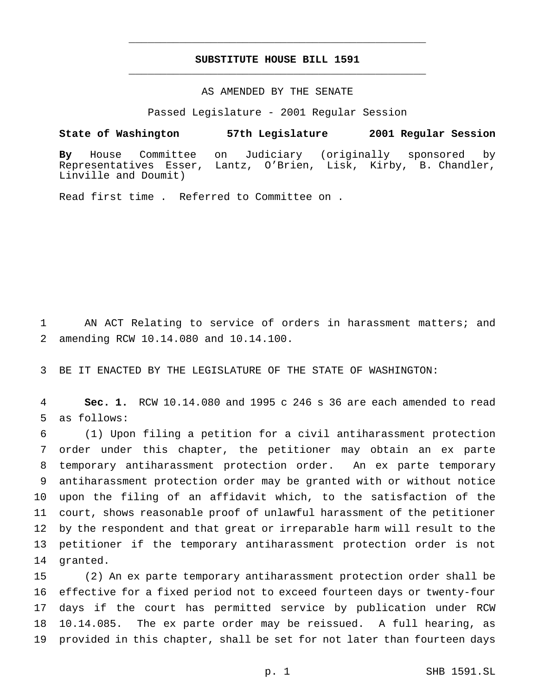## **SUBSTITUTE HOUSE BILL 1591** \_\_\_\_\_\_\_\_\_\_\_\_\_\_\_\_\_\_\_\_\_\_\_\_\_\_\_\_\_\_\_\_\_\_\_\_\_\_\_\_\_\_\_\_\_\_\_

\_\_\_\_\_\_\_\_\_\_\_\_\_\_\_\_\_\_\_\_\_\_\_\_\_\_\_\_\_\_\_\_\_\_\_\_\_\_\_\_\_\_\_\_\_\_\_

## AS AMENDED BY THE SENATE

Passed Legislature - 2001 Regular Session

**State of Washington 57th Legislature 2001 Regular Session**

**By** House Committee on Judiciary (originally sponsored by Representatives Esser, Lantz, O'Brien, Lisk, Kirby, B. Chandler, Linville and Doumit)

Read first time . Referred to Committee on .

1 AN ACT Relating to service of orders in harassment matters; and 2 amending RCW 10.14.080 and 10.14.100.

3 BE IT ENACTED BY THE LEGISLATURE OF THE STATE OF WASHINGTON:

4 **Sec. 1.** RCW 10.14.080 and 1995 c 246 s 36 are each amended to read 5 as follows:

 (1) Upon filing a petition for a civil antiharassment protection order under this chapter, the petitioner may obtain an ex parte temporary antiharassment protection order. An ex parte temporary antiharassment protection order may be granted with or without notice upon the filing of an affidavit which, to the satisfaction of the court, shows reasonable proof of unlawful harassment of the petitioner by the respondent and that great or irreparable harm will result to the petitioner if the temporary antiharassment protection order is not 14 granted.

 (2) An ex parte temporary antiharassment protection order shall be effective for a fixed period not to exceed fourteen days or twenty-four days if the court has permitted service by publication under RCW 10.14.085. The ex parte order may be reissued. A full hearing, as provided in this chapter, shall be set for not later than fourteen days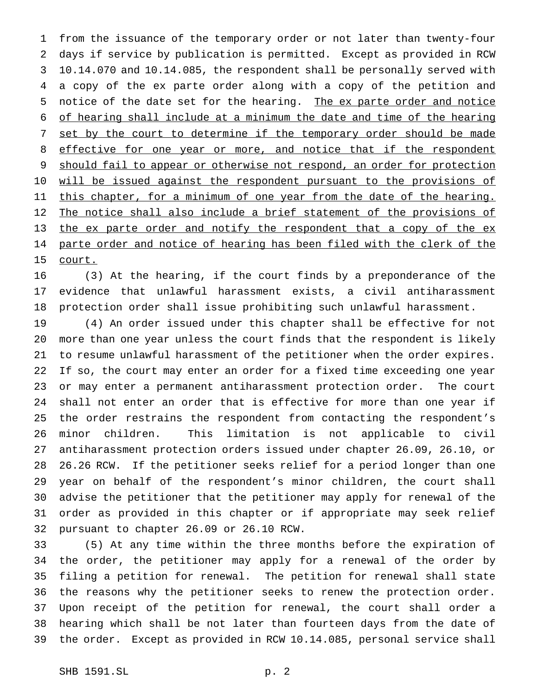from the issuance of the temporary order or not later than twenty-four days if service by publication is permitted. Except as provided in RCW 10.14.070 and 10.14.085, the respondent shall be personally served with a copy of the ex parte order along with a copy of the petition and notice of the date set for the hearing. The ex parte order and notice of hearing shall include at a minimum the date and time of the hearing 7 set by the court to determine if the temporary order should be made 8 effective for one year or more, and notice that if the respondent 9 should fail to appear or otherwise not respond, an order for protection 10 will be issued against the respondent pursuant to the provisions of 11 this chapter, for a minimum of one year from the date of the hearing. 12 The notice shall also include a brief statement of the provisions of 13 the ex parte order and notify the respondent that a copy of the ex 14 parte order and notice of hearing has been filed with the clerk of the court.

 (3) At the hearing, if the court finds by a preponderance of the evidence that unlawful harassment exists, a civil antiharassment protection order shall issue prohibiting such unlawful harassment.

 (4) An order issued under this chapter shall be effective for not more than one year unless the court finds that the respondent is likely to resume unlawful harassment of the petitioner when the order expires. If so, the court may enter an order for a fixed time exceeding one year or may enter a permanent antiharassment protection order. The court shall not enter an order that is effective for more than one year if the order restrains the respondent from contacting the respondent's minor children. This limitation is not applicable to civil antiharassment protection orders issued under chapter 26.09, 26.10, or 26.26 RCW. If the petitioner seeks relief for a period longer than one year on behalf of the respondent's minor children, the court shall advise the petitioner that the petitioner may apply for renewal of the order as provided in this chapter or if appropriate may seek relief pursuant to chapter 26.09 or 26.10 RCW.

 (5) At any time within the three months before the expiration of the order, the petitioner may apply for a renewal of the order by filing a petition for renewal. The petition for renewal shall state the reasons why the petitioner seeks to renew the protection order. Upon receipt of the petition for renewal, the court shall order a hearing which shall be not later than fourteen days from the date of the order. Except as provided in RCW 10.14.085, personal service shall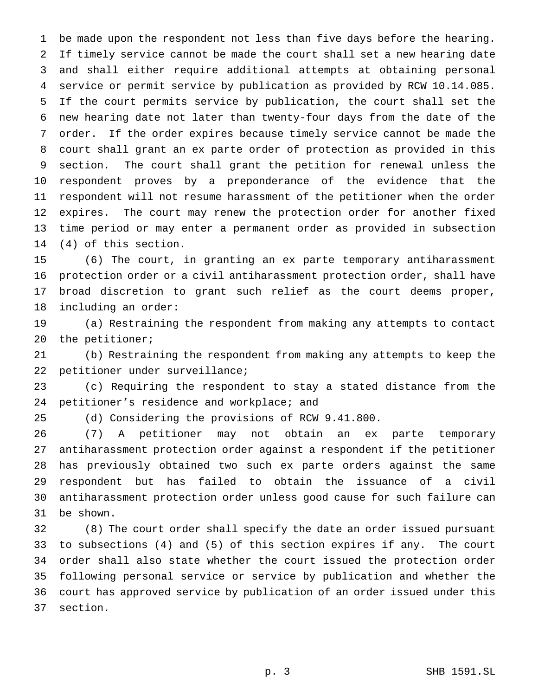be made upon the respondent not less than five days before the hearing. If timely service cannot be made the court shall set a new hearing date and shall either require additional attempts at obtaining personal service or permit service by publication as provided by RCW 10.14.085. If the court permits service by publication, the court shall set the new hearing date not later than twenty-four days from the date of the order. If the order expires because timely service cannot be made the court shall grant an ex parte order of protection as provided in this section. The court shall grant the petition for renewal unless the respondent proves by a preponderance of the evidence that the respondent will not resume harassment of the petitioner when the order expires. The court may renew the protection order for another fixed time period or may enter a permanent order as provided in subsection (4) of this section.

 (6) The court, in granting an ex parte temporary antiharassment protection order or a civil antiharassment protection order, shall have broad discretion to grant such relief as the court deems proper, including an order:

 (a) Restraining the respondent from making any attempts to contact 20 the petitioner;

 (b) Restraining the respondent from making any attempts to keep the petitioner under surveillance;

 (c) Requiring the respondent to stay a stated distance from the 24 petitioner's residence and workplace; and

(d) Considering the provisions of RCW 9.41.800.

 (7) A petitioner may not obtain an ex parte temporary antiharassment protection order against a respondent if the petitioner has previously obtained two such ex parte orders against the same respondent but has failed to obtain the issuance of a civil antiharassment protection order unless good cause for such failure can be shown.

 (8) The court order shall specify the date an order issued pursuant to subsections (4) and (5) of this section expires if any. The court order shall also state whether the court issued the protection order following personal service or service by publication and whether the court has approved service by publication of an order issued under this section.